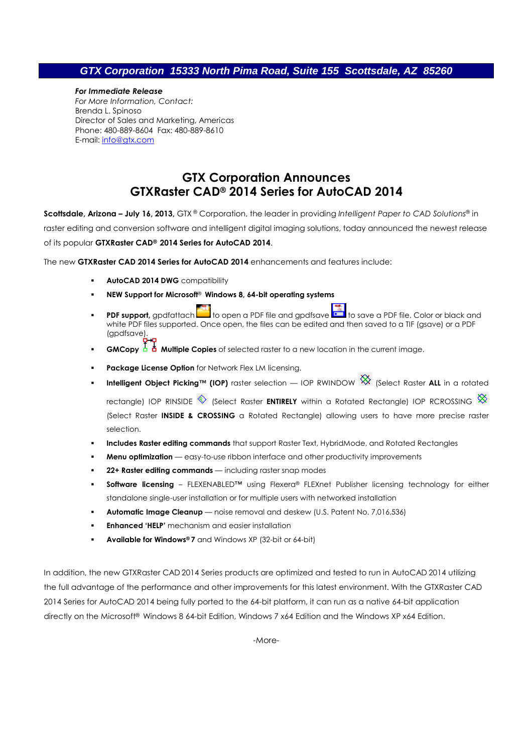## **GTX Corporation 15333 North Pima Road, Suite 155 Scottsdale, AZ 85260**

#### *For Immediate Release*

*For More Information, Contact:*  Brenda L. Spinoso Director of Sales and Marketing, Americas Phone: 480-889-8604 Fax: 480-889-8610 E-mail: info@gtx.com

# **GTX Corporation Announces GTXRaster CAD® 2014 Series for AutoCAD 2014**

**Scottsdale, Arizona – July 16, 2013,** GTX ® Corporation, the leader in providing *Intelligent Paper to CAD Solutions*® in raster editing and conversion software and intelligent digital imaging solutions, today announced the newest release of its popular **GTXRaster CAD® 2014 Series for AutoCAD 2014**.

The new **GTXRaster CAD 2014 Series for AutoCAD 2014** enhancements and features include:

- **AutoCAD 2014 DWG** compatibility
- **NEW Support for Microsoft**® **Windows 8, 64-bit operating systems**
- **PDF support**, gpdfattach to open a PDF file and gpdfsave **the same a PDF file. Color or black and** white PDF files supported. Once open, the files can be edited and then saved to a TIF (gsave) or a PDF (apdfsave).
- **GMCopy Multiple Copies** of selected raster to a new location in the current image.
- **Package License Option** for Network Flex LM licensing.
- **Intelligent Object Picking™ (IOP)** raster selection IOP RWINDOW <sup>XX</sup> (Select Raster ALL in a rotated rectangle) IOP RINSIDE  $\textcircled{S}$  (Select Raster **ENTIRELY** within a Rotated Rectangle) IOP RCROSSING  $\textcircled{S}$ (Select Raster **INSIDE & CROSSING** a Rotated Rectangle) allowing users to have more precise raster selection.
- **Includes Raster editing commands** that support Raster Text, HybridMode, and Rotated Rectangles
- **Menu optimization** easy-to-use ribbon interface and other productivity improvements
- **22+ Raster editing commands** including raster snap modes
- **Software licensing** FLEXENABLED™ using Flexera® FLEXnet Publisher licensing technology for either standalone single-user installation or for multiple users with networked installation
- **Automatic Image Cleanup** noise removal and deskew (U.S. Patent No. 7,016,536)
- **Enhanced 'HELP'** mechanism and easier installation
- **Available for Windows® 7** and Windows XP (32-bit or 64-bit)

In addition, the new GTXRaster CAD 2014 Series products are optimized and tested to run in AutoCAD 2014 utilizing the full advantage of the performance and other improvements for this latest environment. With the GTXRaster CAD 2014 Series for AutoCAD 2014 being fully ported to the 64-bit platform, it can run as a native 64-bit application directly on the Microsoft® Windows 8 64-bit Edition, Windows 7 x64 Edition and the Windows XP x64 Edition.

-More-